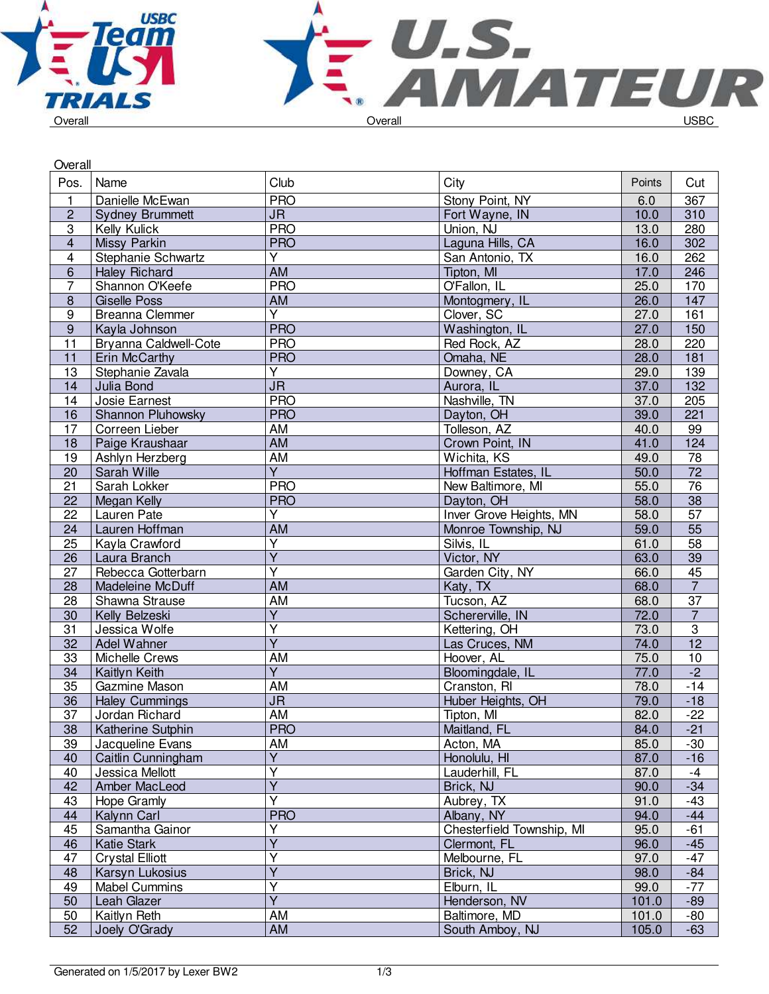

| Overall                 |                        |                                   |                           |        |                           |
|-------------------------|------------------------|-----------------------------------|---------------------------|--------|---------------------------|
| Pos.                    | Name                   | Club                              | City                      | Points | Cut                       |
| $\mathbf{1}$            | Danielle McEwan        | <b>PRO</b>                        | Stony Point, NY           | 6.0    | 367                       |
| $\mathbf 2$             | <b>Sydney Brummett</b> | JR.                               | Fort Wayne, IN            | 10.0   | 310                       |
| $\overline{3}$          | Kelly Kulick           | <b>PRO</b>                        | Union, NJ                 | 13.0   | 280                       |
| $\overline{4}$          | Missy Parkin           | <b>PRO</b>                        | Laguna Hills, CA          | 16.0   | 302                       |
| $\overline{\mathbf{4}}$ | Stephanie Schwartz     | $\overline{Y}$                    | San Antonio, TX           | 16.0   | 262                       |
| $6\phantom{1}$          | <b>Haley Richard</b>   | $\overline{AM}$                   | Tipton, MI                | 17.0   | 246                       |
| $\overline{7}$          | Shannon O'Keefe        | <b>PRO</b>                        | O'Fallon, IL              | 25.0   | 170                       |
| $\bf 8$                 | <b>Giselle Poss</b>    | AM                                | Montogmery, IL            | 26.0   | 147                       |
| 9                       | Breanna Clemmer        | $\overline{\mathsf{Y}}$           | Clover, SC                | 27.0   | 161                       |
| $\boldsymbol{9}$        | Kayla Johnson          | <b>PRO</b>                        | Washington, IL            | 27.0   | 150                       |
| $\overline{11}$         | Bryanna Caldwell-Cote  | <b>PRO</b>                        | Red Rock, AZ              | 28.0   | 220                       |
| 11                      | Erin McCarthy          | <b>PRO</b>                        | Omaha, NE                 | 28.0   | 181                       |
| 13                      | Stephanie Zavala       | $\overline{\mathsf{Y}}$           | Downey, CA                | 29.0   | 139                       |
| 14                      | Julia Bond             | $\overline{\mathsf{J}\mathsf{R}}$ | Aurora, IL                | 37.0   | $\overline{132}$          |
| 14                      | Josie Earnest          | <b>PRO</b>                        | Nashville, TN             | 37.0   | 205                       |
| 16                      | Shannon Pluhowsky      | <b>PRO</b>                        | Dayton, OH                | 39.0   | 221                       |
| 17                      | Correen Lieber         | AM                                | Tolleson, AZ              | 40.0   | 99                        |
| 18                      | Paige Kraushaar        | <b>AM</b>                         | Crown Point, IN           | 41.0   | 124                       |
| 19                      | Ashlyn Herzberg        | AM                                | Wichita, KS               | 49.0   | 78                        |
| 20                      | Sarah Wille            | $\overline{Y}$                    | Hoffman Estates, IL       | 50.0   | $\overline{72}$           |
| $\overline{21}$         | Sarah Lokker           | <b>PRO</b>                        | New Baltimore, MI         | 55.0   | $\overline{76}$           |
| $\overline{22}$         | Megan Kelly            | <b>PRO</b>                        | Dayton, OH                | 58.0   | $\overline{38}$           |
| 22                      | Lauren Pate            | Y                                 | Inver Grove Heights, MN   | 58.0   | 57                        |
| 24                      | Lauren Hoffman         | <b>AM</b>                         | Monroe Township, NJ       | 59.0   | $\overline{55}$           |
| 25                      | Kayla Crawford         | Y                                 | Silvis, IL                | 61.0   | $\overline{58}$           |
| 26                      | Laura Branch           | $\overline{\mathsf{Y}}$           | Victor, NY                | 63.0   | $\overline{39}$           |
| $\overline{27}$         | Rebecca Gotterbarn     | $\overline{\mathsf{Y}}$           | Garden City, NY           | 66.0   | $\overline{45}$           |
| 28                      | Madeleine McDuff       | <b>AM</b>                         | Katy, TX                  | 68.0   | $\overline{7}$            |
| 28                      | Shawna Strause         | AM                                | Tucson, AZ                | 68.0   | $\overline{37}$           |
| 30                      | Kelly Belzeski         | Υ                                 | Schererville, IN          | 72.0   | $\overline{7}$            |
| $\overline{31}$         | Jessica Wolfe          | $\overline{\mathsf{Y}}$           | Kettering, OH             | 73.0   | $\ensuremath{\mathsf{3}}$ |
| $\overline{32}$         | Adel Wahner            | $\overline{Y}$                    | Las Cruces, NM            | 74.0   | $\overline{12}$           |
| 33                      | Michelle Crews         | AM                                | Hoover, AL                | 75.0   | 10                        |
| 34                      | Kaitlyn Keith          | $\overline{Y}$                    | Bloomingdale, IL          | 77.0   | $-2$                      |
| 35                      | Gazmine Mason          | AM                                | Cranston, RI              | 78.0   | $-14$                     |
| 36                      | <b>Haley Cummings</b>  | $\overline{\mathsf{J}\mathsf{R}}$ | Huber Heights, OH         | 79.0   | $-18$                     |
| $\overline{37}$         | Jordan Richard         | AM                                | Tipton, MI                | 82.0   | $-22$                     |
| 38                      | Katherine Sutphin      | <b>PRO</b>                        | Maitland, FL              | 84.0   | $-21$                     |
| 39                      | Jacqueline Evans       | AM                                | Acton, MA                 | 85.0   | $-30$                     |
| 40                      | Caitlin Cunningham     | Υ                                 | Honolulu, HI              | 87.0   | $-16$                     |
| 40                      | Jessica Mellott        | Ý                                 | Lauderhill, FL            | 87.0   | $-4$                      |
| 42                      | Amber MacLeod          | $\overline{Y}$                    | Brick, NJ                 | 90.0   | $-34$                     |
| 43                      | Hope Gramly            | $\overline{\mathsf{Y}}$           | Aubrey, TX                | 91.0   | $-43$                     |
| 44                      | Kalynn Carl            | <b>PRO</b>                        | Albany, NY                | 94.0   | $-44$                     |
| 45                      | Samantha Gainor        | Υ                                 | Chesterfield Township, MI | 95.0   | $-61$                     |
| 46                      | <b>Katie Stark</b>     | $\overline{Y}$                    | Clermont, FL              | 96.0   | $-45$                     |
| 47                      | <b>Crystal Elliott</b> | Υ                                 | Melbourne, FL             | 97.0   | $-47$                     |
| 48                      | Karsyn Lukosius        | Y                                 | Brick, NJ                 | 98.0   | $-84$                     |
| 49                      | <b>Mabel Cummins</b>   | Υ                                 | Elburn, IL                | 99.0   | $-77$                     |
| 50                      | Leah Glazer            | $\overline{\mathsf{Y}}$           | Henderson, NV             | 101.0  | $-89$                     |
| 50                      | Kaitlyn Reth           | AM                                | Baltimore, MD             | 101.0  | -80                       |
| 52                      | Joely O'Grady          | AM                                | South Amboy, NJ           | 105.0  | $-63$                     |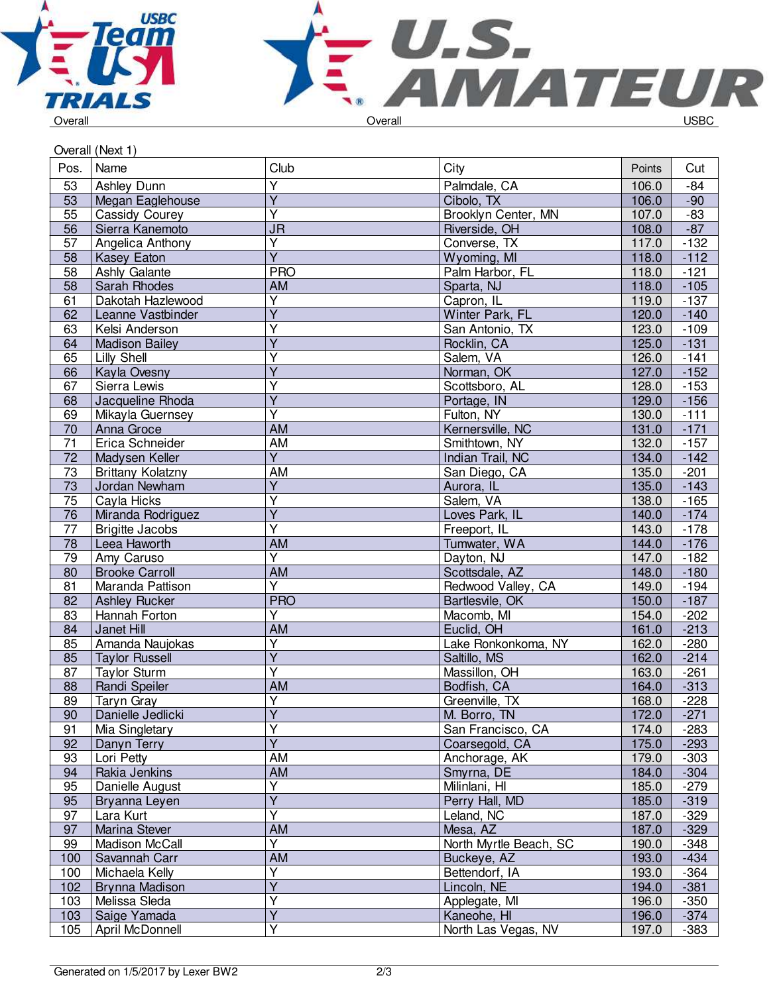



## Overall (Next 1)

| Pos.            | Name                     | Club                    | City                          | Points | Cut              |
|-----------------|--------------------------|-------------------------|-------------------------------|--------|------------------|
| 53              | Ashley Dunn              | Ÿ                       | Palmdale, CA                  | 106.0  | $-84$            |
| 53              | Megan Eaglehouse         | $\overline{\mathsf{Y}}$ | Cibolo, TX                    | 106.0  | $-90$            |
| 55              | Cassidy Courey           | $\overline{\mathsf{Y}}$ | Brooklyn Center, MN           | 107.0  | $-83$            |
| 56              | Sierra Kanemoto          | <b>JR</b>               | Riverside, OH                 | 108.0  | $-87$            |
| 57              | Angelica Anthony         | Y                       | Converse, TX                  | 117.0  | $-132$           |
| 58              | Kasey Eaton              | $\overline{\mathsf{Y}}$ | Wyoming, MI                   | 118.0  | $-112$           |
| 58              | Ashly Galante            | <b>PRO</b>              | Palm Harbor, FL               | 118.0  | $-121$           |
| 58              | Sarah Rhodes             | AM                      | Sparta, NJ                    | 118.0  | $-105$           |
| 61              | Dakotah Hazlewood        | $\overline{\mathsf{Y}}$ | Capron, IL                    | 119.0  | $-137$           |
| 62              | Leanne Vastbinder        | $\overline{Y}$          | Winter Park, FL               | 120.0  | $-140$           |
| 63              | Kelsi Anderson           | Ÿ                       | San Antonio, TX               | 123.0  | $-109$           |
| 64              | <b>Madison Bailey</b>    | $\overline{\mathsf{Y}}$ | Rocklin, CA                   | 125.0  | $-131$           |
| 65              | Lilly Shell              | Y                       | Salem, VA                     | 126.0  | $-141$           |
| 66              | Kayla Ovesny             | $\overline{Y}$          | Norman, OK                    | 127.0  | $-152$           |
| 67              | Sierra Lewis             | Ÿ                       | Scottsboro, AL                | 128.0  | $-153$           |
| 68              | Jacqueline Rhoda         | $\overline{Y}$          | Portage, IN                   | 129.0  | $-156$           |
| 69              | Mikayla Guernsey         | $\overline{\mathsf{Y}}$ | Fulton, NY                    | 130.0  | $-111$           |
| 70              | Anna Groce               | <b>AM</b>               | Kernersville, NC              | 131.0  | $-171$           |
| $\overline{71}$ | Erica Schneider          | AM                      | Smithtown, NY                 | 132.0  | $-157$           |
| $\overline{72}$ | Madysen Keller           | $\overline{Y}$          | Indian Trail, NC              | 134.0  | $-142$           |
| $\overline{73}$ | <b>Brittany Kolatzny</b> | AM                      | San Diego, CA                 | 135.0  | $-201$           |
| 73              | Jordan Newham            | $\overline{Y}$          | Aurora, IL                    | 135.0  | $-143$           |
| 75              | Cayla Hicks              | $\overline{\mathsf{Y}}$ | Salem, VA                     | 138.0  | $-165$           |
| 76              | Miranda Rodriguez        | $\overline{Y}$          | Loves Park, IL                | 140.0  | $-174$           |
| $\overline{77}$ | <b>Brigitte Jacobs</b>   | $\overline{\mathsf{Y}}$ | Freeport, IL                  | 143.0  | $-178$           |
| 78              | Leea Haworth             | <b>AM</b>               | Tumwater, WA                  | 144.0  | $-176$           |
| 79              | Amy Caruso               | Υ                       | Dayton, NJ                    | 147.0  | $-182$           |
| 80              | <b>Brooke Carroll</b>    | <b>AM</b>               | Scottsdale, AZ                | 148.0  | $-180$           |
| 81              | Maranda Pattison         | $\overline{Y}$          | Redwood Valley, CA            | 149.0  | $-194$           |
| 82              |                          | <b>PRO</b>              |                               | 150.0  |                  |
| 83              | <b>Ashley Rucker</b>     | Ý                       | Bartlesvile, OK<br>Macomb, MI | 154.0  | $-187$<br>$-202$ |
|                 | Hannah Forton            | <b>AM</b>               | Euclid, OH                    | 161.0  |                  |
| 84              | Janet Hill               | $\overline{\mathsf{Y}}$ |                               |        | $-213$           |
| 85              | Amanda Naujokas          | $\overline{\mathsf{Y}}$ | Lake Ronkonkoma, NY           | 162.0  | $-280$           |
| 85              | <b>Taylor Russell</b>    | $\overline{\mathsf{Y}}$ | Saltillo, MS                  | 162.0  | $-214$           |
| 87              | <b>Taylor Sturm</b>      |                         | Massillon, OH                 | 163.0  | $-261$           |
| 88              | Randi Speiler            | AM                      | Bodfish, CA                   | 164.0  | $-313$           |
| 89              | <b>Taryn Gray</b>        | Υ<br>$\overline{Y}$     | Greenville, TX                | 168.0  | $-228$           |
| 90              | Danielle Jedlicki        |                         | M. Borro, TN                  | 172.0  | $-271$           |
| 91              | Mia Singletary           | Υ                       | San Francisco, CA             | 174.0  | $-283$           |
| 92              | Danyn Terry              | $\overline{\mathsf{Y}}$ | Coarsegold, CA                | 175.0  | $-293$           |
| 93              | Lori Petty               | AM                      | Anchorage, AK                 | 179.0  | $-303$           |
| 94              | Rakia Jenkins            | AM                      | Smyrna, DE                    | 184.0  | $-304$           |
| 95              | Danielle August          | $\overline{\mathsf{Y}}$ | Milinlani, HI                 | 185.0  | $-279$           |
| 95              | Bryanna Leyen            | $\overline{\mathsf{Y}}$ | Perry Hall, MD                | 185.0  | $-319$           |
| 97              | Lara Kurt                | $\overline{Y}$          | Leland, NC                    | 187.0  | $-329$           |
| 97              | Marina Stever            | AM                      | Mesa, AZ                      | 187.0  | $-329$           |
| 99              | Madison McCall           | Υ                       | North Myrtle Beach, SC        | 190.0  | $-348$           |
| 100             | Savannah Carr            | AM                      | Buckeye, AZ                   | 193.0  | $-434$           |
| 100             | Michaela Kelly           | Υ                       | Bettendorf, IA                | 193.0  | $-364$           |
| 102             | Brynna Madison           | $\overline{Y}$          | Lincoln, NE                   | 194.0  | $-381$           |
| 103             | Melissa Sleda            | Ÿ                       | Applegate, MI                 | 196.0  | $-350$           |
| 103             | Saige Yamada             | $\overline{Y}$          | Kaneohe, HI                   | 196.0  | $-374$           |
| 105             | April McDonnell          | $\overline{\mathsf{Y}}$ | North Las Vegas, NV           | 197.0  | $-383$           |